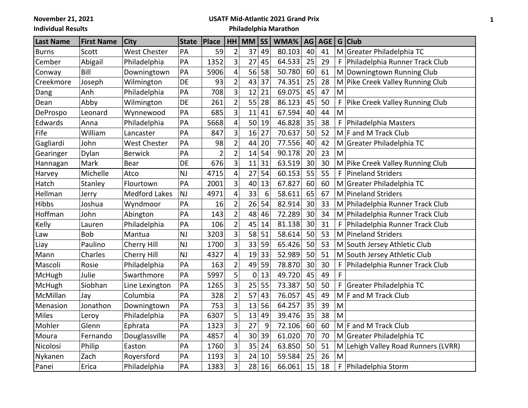**November 21, 2021**

## **Individual Results**

## **USATF Mid-Atlantic 2021 Grand Prix**

**Philadelphia Marathon**

| <b>Last Name</b> | <b>First Name</b> | <b>City</b>          | <b>State</b> | <b>Place</b>   |                         | $HH$ MM         | <b>SS</b> | WMA%   |    | $AG$ $AGE$ | G | <b>Club</b>                         |
|------------------|-------------------|----------------------|--------------|----------------|-------------------------|-----------------|-----------|--------|----|------------|---|-------------------------------------|
| <b>Burns</b>     | Scott             | <b>West Chester</b>  | PA           | 59             | $\overline{2}$          | 37              | 49        | 80.103 | 40 | 41         |   | M Greater Philadelphia TC           |
| Cember           | Abigail           | Philadelphia         | PA           | 1352           | $\overline{3}$          | 27              | 45        | 64.533 | 25 | 29         | F | Philadelphia Runner Track Club      |
| Conway           | Bill              | Downingtown          | PA           | 5906           | $\overline{\mathbf{4}}$ | 56              | 58        | 50.780 | 60 | 61         |   | M Downingtown Running Club          |
| Creekmore        | Joseph            | Wilmington           | DE           | 93             | $\overline{2}$          | 43              | 37        | 74.351 | 25 | 28         |   | M Pike Creek Valley Running Club    |
| Dang             | Anh               | Philadelphia         | PA           | 708            | $\overline{3}$          | 12              | 21        | 69.075 | 45 | 47         | M |                                     |
| Dean             | Abby              | Wilmington           | DE           | 261            | $\overline{2}$          | 55              | 28        | 86.123 | 45 | 50         |   | Pike Creek Valley Running Club      |
| DeProspo         | Leonard           | Wynnewood            | PA           | 685            | $\overline{3}$          | 11              | 41        | 67.594 | 40 | 44         | M |                                     |
| Edwards          | Anna              | Philadelphia         | PA           | 5668           | $\overline{\mathbf{4}}$ | 50              | 19        | 46.828 | 35 | 38         | F | Philadelphia Masters                |
| Fife             | William           | Lancaster            | PA           | 847            | 3                       | 16              | 27        | 70.637 | 50 | 52         |   | $M$ F and M Track Club              |
| Gagliardi        | John              | <b>West Chester</b>  | PA           | 98             | $\overline{2}$          | 44              | 20        | 77.556 | 40 | 42         |   | M Greater Philadelphia TC           |
| Gearinger        | Dylan             | <b>Berwick</b>       | PA           | $\overline{2}$ | $\overline{2}$          | 14              | 54        | 90.178 | 20 | 23         | M |                                     |
| Hannagan         | Mark              | <b>Bear</b>          | DE           | 676            | $\overline{3}$          | 11              | 31        | 63.519 | 30 | 30         |   | M Pike Creek Valley Running Club    |
| Harvey           | Michelle          | Atco                 | NJ           | 4715           | $\overline{\mathbf{4}}$ | 27              | 54        | 60.153 | 55 | 55         | F | Pineland Striders                   |
| Hatch            | Stanley           | Flourtown            | PA           | 2001           | $\overline{3}$          | 40              | 13        | 67.827 | 60 | 60         | M | Greater Philadelphia TC             |
| Hellman          | Jerry             | <b>Medford Lakes</b> | <b>NJ</b>    | 4971           | $\overline{\mathbf{4}}$ | 33              | 6         | 58.611 | 65 | 67         |   | M Pineland Striders                 |
| Hibbs            | Joshua            | Wyndmoor             | PA           | 16             | $\overline{2}$          | 26              | 54        | 82.914 | 30 | 33         |   | M Philadelphia Runner Track Club    |
| Hoffman          | John              | Abington             | PA           | 143            | $\overline{2}$          | 48              | 46        | 72.289 | 30 | 34         |   | M Philadelphia Runner Track Club    |
| Kelly            | Lauren            | Philadelphia         | PA           | 106            | $\overline{2}$          | 45              | 14        | 81.138 | 30 | 31         | F | Philadelphia Runner Track Club      |
| Law              | <b>Bob</b>        | Mantua               | <b>NJ</b>    | 3203           | 3                       | 58              | 51        | 58.614 | 50 | 53         |   | M Pineland Striders                 |
| Liay             | Paulino           | Cherry Hill          | <b>NJ</b>    | 1700           | $\overline{3}$          | 33              | 59        | 65.426 | 50 | 53         |   | M South Jersey Athletic Club        |
| Mann             | Charles           | Cherry Hill          | <b>NJ</b>    | 4327           | $\overline{\mathbf{4}}$ | 19              | 33        | 52.989 | 50 | 51         |   | M South Jersey Athletic Club        |
| Mascoli          | Rosie             | Philadelphia         | PA           | 163            | $\overline{2}$          | 49              | 59        | 78.870 | 30 | 30         | F | Philadelphia Runner Track Club      |
| McHugh           | Julie             | Swarthmore           | PA           | 5997           | 5                       | 0               | 13        | 49.720 | 45 | 49         | F |                                     |
| McHugh           | Siobhan           | Line Lexington       | PA           | 1265           | $\overline{3}$          | 25              | 55        | 73.387 | 50 | 50         | F | Greater Philadelphia TC             |
| McMillan         | Jay               | Columbia             | PA           | 328            | $\overline{2}$          | 57              | 43        | 76.057 | 45 | 49         |   | $M$ F and M Track Club              |
| Menasion         | Jonathon          | Downingtown          | PA           | 753            | $\overline{3}$          | 13              | 56        | 64.257 | 35 | 39         | M |                                     |
| <b>Miles</b>     | Leroy             | Philadelphia         | PA           | 6307           | 5                       | 13              | 49        | 39.476 | 35 | 38         | M |                                     |
| Mohler           | Glenn             | Ephrata              | PA           | 1323           | $\overline{3}$          | 27              | 9         | 72.106 | 60 | 60         |   | $M$ F and M Track Club              |
| Moura            | Fernando          | Douglassville        | PA           | 4857           | $\overline{\mathbf{4}}$ | 30 <sup>2</sup> | 39        | 61.020 | 70 | 70         |   | M Greater Philadelphia TC           |
| Nicolosi         | Philip            | Easton               | PA           | 1760           | 3                       | 35              | 24        | 63.850 | 50 | 51         |   | M Lehigh Valley Road Runners (LVRR) |
| Nykanen          | Zach              | Royersford           | PA           | 1193           | $\overline{3}$          | 24              | 10        | 59.584 | 25 | 26         | M |                                     |
| Panei            | Erica             | Philadelphia         | PA           | 1383           | $\overline{3}$          | 28              | 16        | 66.061 | 15 | 18         | F | Philadelphia Storm                  |